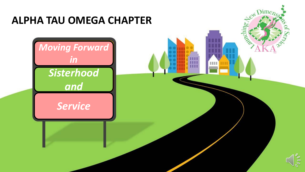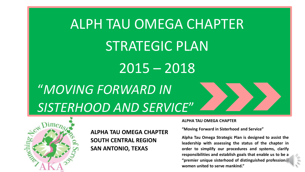# ALPH TAU OMEGA CHAPTER STRATEGIC PLAN 2015 – 2018

2 "*MOVING FORWARD IN SISTERHOOD AND SERVICE*"



**ALPHA TAU OMEGA CHAPTER SOUTH CENTRAL REGION SAN ANTONIO, TEXAS**

#### **ALPHA TAU OMEGA CHAPTER**

**"Moving Forward in Sisterhood and Service"**

**Alpha Tau Omega Strategic Plan is designed to assist the leadership with assessing the status of the chapter in order to simplify our procedures and systems, clarify responsibilities and establish goals that enable us to be a "premier unique sisterhood of distinguished professional women united to serve mankind."**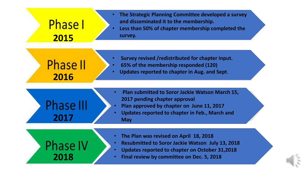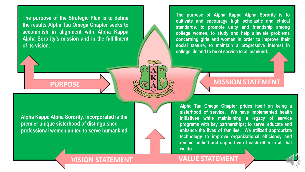**The purpose of the Strategic Plan is to define the results Alpha Tau Omega Chapter seeks to accomplish in alignment with Alpha Kappa Alpha Sorority's mission and in the fulfillment of its vision.**

**The purpose of Alpha Kappa Alpha Sorority is to cultivate and encourage high scholastic and ethical standards, to promote unity and friendship among college women, to study and help alleviate problems concerning girls and women in order to improve their social stature, to maintain a progressive interest in college life and to be of service to all mankind.**

**Alpha Kappa Alpha Sorority, Incorporated is the premier unique sisterhood of distinguished professional women united to serve humankind.**

## **PURPOSE A MISSION STATEMENT**

**Alpha Tau Omega Chapter prides itself on being a sisterhood of service. We have implemented health initiatives while maintaining a legacy of service programs with key partnerships; to serve, educate and enhance the lives of families. We utilized appropriate technology to improve organizational efficiency and remain unified and supportive of each other in all that we do..**

**VISION STATEMENT VALUE STATEMENT**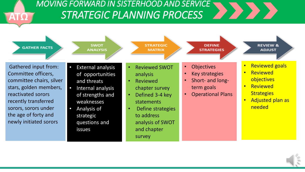

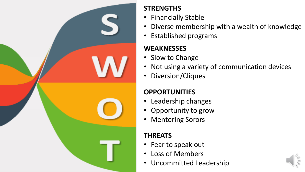

## **STRENGTHS**

- Financially Stable
- Diverse membership with a wealth of knowledge
- Established programs

## **WEAKNESSES**

- Slow to Change
- Not using a variety of communication devices
- Diversion/Cliques

## **OPPORTUNITIES**

- Leadership changes
- Opportunity to grow
- Mentoring Sorors

## **THREATS**

- Fear to speak out
- Loss of Members
- Uncommitted Leadership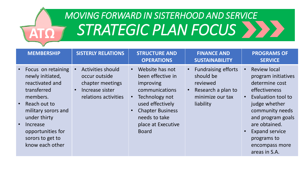

# *MOVING FORWARD IN SISTERHOOD AND SERVICE* **ΑΤΩ** *STRATEGIC PLAN FOCUS*

| <b>MEMBERSHIP</b>                                                                                                                                                                                                   | <b>SISTERLY RELATIONS</b>                                                                                             | <b>STRUCTURE AND</b><br><b>OPERATIONS</b>                                                                                                                                                                | <b>FINANCE AND</b><br><b>SUSTAINABILITY</b>                                                                | <b>PROGRAMS OF</b><br><b>SERVICE</b>                                                                                                                                                                                                                     |
|---------------------------------------------------------------------------------------------------------------------------------------------------------------------------------------------------------------------|-----------------------------------------------------------------------------------------------------------------------|----------------------------------------------------------------------------------------------------------------------------------------------------------------------------------------------------------|------------------------------------------------------------------------------------------------------------|----------------------------------------------------------------------------------------------------------------------------------------------------------------------------------------------------------------------------------------------------------|
| Focus on retaining<br>newly initiated,<br>reactivated and<br>transferred<br>members.<br>Reach out to<br>military sorors and<br>under thirty<br>Increase<br>opportunities for<br>sorors to get to<br>know each other | <b>Activities should</b><br>occur outside<br>chapter meetings<br>Increase sister<br>$\bullet$<br>relations activities | Website has not<br>$\bullet$<br>been effective in<br>improving<br>communications<br>Technology not<br>used effectively<br><b>Chapter Business</b><br>needs to take<br>place at Executive<br><b>Board</b> | <b>Fundraising efforts</b><br>should be<br>reviewed<br>Research a plan to<br>minimize our tax<br>liability | <b>Review local</b><br>program initiatives<br>determine cost<br>effectiveness<br>Evaluation tool to<br>judge whether<br>community needs<br>and program goals<br>are obtained.<br><b>Expand service</b><br>programs to<br>encompass more<br>areas in S.A. |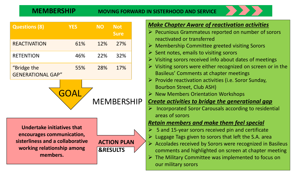#### **MEMBERSHIP MOVING FORWARD IN SISTERHOOD AND SERVICE**

| <b>Questions (8)</b>                    | <b>YES</b> | NΟ  | <b>Not</b><br><b>Sure</b> |
|-----------------------------------------|------------|-----|---------------------------|
| <b>REACTIVATION</b>                     | 61%        | 12% | 27%                       |
| <b>RETENTION</b>                        | 46%        | 22% | 32%                       |
| "Bridge the<br><b>GENERATIONAL GAP"</b> | 55%        | 28% | 17%                       |

MEMBERSHIP **GOAI** 

**Undertake initiatives that encourages communication, sisterliness and a collaborative working relationship among members.**



#### *Make Chapter Aware of reactivation activities*

- ➢ Pecunious Grammateus reported on number of sorors reactivated or transferred
- ➢ Membership Committee greeted visiting Sorors
- $\triangleright$  Sent notes, emails to visiting sorors
- $\triangleright$  Visiting sorors received info about dates of meetings
- ➢ Visiting sorors were either recognized on screen or in the Basileus' Comments at chapter meetings
- $\triangleright$  Provide reactivation activities (i.e. Soror Sunday, Bourbon Street, Club ASH)
- ➢ New Members Orientation Workshops

### *Create activities to bridge the generational gap*

 $\triangleright$  Incorporated Soror Carousals according to residential areas of sorors

#### *Retain members and make them feel special*

- ➢ 5 and 15-year sorors received pin and certificate
- $\triangleright$  Luggage Tags given to sorors that left the S.A. area
- ➢ Accolades received by Sorors were recognized in Basileus comments and highlighted on screen at chapter meeting
- $\triangleright$  The Military Committee was implemented to focus on our military sorors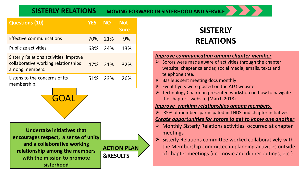**SISTERLY RELATIONS MOVING FORWARD IN SISTERHOOD AND SERVICE** 

| <b>Questions (10)</b>                                                                                 |     | <b>YES</b> | <b>NO</b> | Not<br><b>Sure</b> |
|-------------------------------------------------------------------------------------------------------|-----|------------|-----------|--------------------|
| <b>Effective communications</b>                                                                       |     | 70%        | 21%       | 9%                 |
| <b>Publicize activities</b>                                                                           |     | 63%        | - 24%     | 13%                |
| <b>Sisterly Relations activities improve</b><br>collaborative working relationships<br>among members. | 47% | 21%        | 32%       |                    |
| Listens to the concerns of its<br>membership.                                                         |     | 51%        | - 23%     | 26%                |
|                                                                                                       |     |            |           |                    |



**Undertake initiatives that encourages respect, a sense of unity and a collaborative working relationship among the members with the mission to promote sisterhood**



## **SISTERLY RELATIONS**

#### *Improve communication among chapter member*

- $\triangleright$  Sorors were made aware of activities through the chapter website, chapter calendar, social media, emails, texts and telephone tree.
- ➢ Basileus sent meeting docs monthly
- Event flyers were posted on the AT $\Omega$  website
- ➢ Technology Chairman presented workshop on how to navigate the chapter's website (March 2018)

#### *Improve working relationships among members.*

 $\geq$  85% of members participated in LNDS and chapter initiatives.

#### *Create opportunities for sorors to get to know one another*

- $\triangleright$  Monthly Sisterly Relations activities occurred at chapter meetings
- $\triangleright$  Sisterly Relations committee worked collaboratively with the Membership committee in planning activities outside of chapter meetings (i.e. movie and dinner outings, etc.)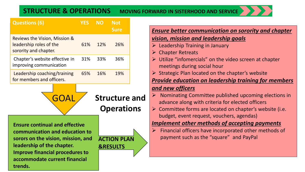#### **STRUCTURE & OPERATIONS MOVING FORWARD IN SISTERHOOD AND SERVICE**

| <b>Questions (6)</b>                                                              | <b>YES</b> | <b>NO</b> | <b>Not</b><br><b>Sure</b>                 |  |
|-----------------------------------------------------------------------------------|------------|-----------|-------------------------------------------|--|
| Reviews the Vision, Mission &<br>leadership roles of the<br>sorority and chapter. | 61%        | 12%       | 26%                                       |  |
| Chapter's website effective in<br>improving communication                         | 31%        | 33%       | 36%                                       |  |
| Leadership coaching/training<br>for members and officers.                         | 65%        | 16%       | 19%                                       |  |
|                                                                                   |            |           |                                           |  |
| G(A)                                                                              |            |           | <b>Structure and</b><br><b>Operations</b> |  |

#### *Ensure better communication on sorority and chapter vision, mission and leadership goals*

- $\triangleright$  Leadership Training in January
- $\triangleright$  Chapter Retreats
- ➢ Utilize "infomercials" on the video screen at chapter meetings during social hour
- $\triangleright$  Strategic Plan located on the chapter's website

*Provide education on leadership training for members* 

### *and new officers*

- $\triangleright$  Nominating Committee published upcoming elections in advance along with criteria for elected officers
- $\triangleright$  Committee forms are located on chapter's website (i.e. budget, event request, vouchers, agendas)

#### *Implement other methods of accepting payments*

 $\triangleright$  Financial officers have incorporated other methods of payment such as the "square" and PayPal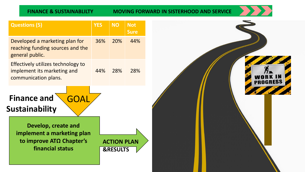#### **FINANCE & SUSTAINABLILTY MOVING FORWARD IN SISTERHOOD AND SERVICE**



WORK IN

| <b>Questions (5)</b>                                                                                      | <b>YES</b> | <b>NO</b>                                 | <b>Not</b><br><b>Sure</b> |  |
|-----------------------------------------------------------------------------------------------------------|------------|-------------------------------------------|---------------------------|--|
| Developed a marketing plan for<br>reaching funding sources and the<br>general public.                     | 36%        | 20%                                       | 44%                       |  |
| Effectively utilizes technology to<br>implement its marketing and<br>communication plans.                 | 44%        | 28%                                       | 28%                       |  |
| <b>Finance and</b><br>GOA<br><b>Sustainability</b>                                                        |            |                                           |                           |  |
| Develop, create and<br>implement a marketing plan<br>to improve AT $\Omega$ Chapter's<br>financial status |            | <b>ACTION PLAN</b><br><b>&amp;RESULTS</b> |                           |  |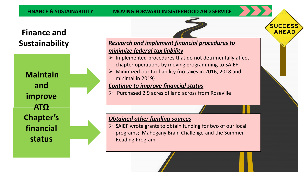## **Finance and Sustainability**

**Maintain and improve ATΩ Chapter's financial status** 

### *Research and implement financial procedures to minimize federal tax liability*

 $\triangleright$  Implemented procedures that do not detrimentally affect chapter operations by moving programming to SAIEF

**SUCCESS AHEAD** 

➢ Minimized our tax liability (no taxes in 2016, 2018 and minimal in 2019)

### *Continue to improve financial status*

➢ Purchased 2.9 acres of land across from Roseville

#### *Obtained other funding sources*

 $\triangleright$  SAIEF wrote grants to obtain funding for two of our local programs; Mahogany Brain Challenge and the Summer Reading Program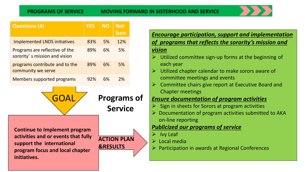

| <b>Questions (4)</b>                                                                                                                        | <b>YES</b> | <b>NO</b>           | <b>Not</b>         |
|---------------------------------------------------------------------------------------------------------------------------------------------|------------|---------------------|--------------------|
|                                                                                                                                             |            |                     | <b>Sure</b>        |
| <b>Implemented LNDS initiatives</b>                                                                                                         | 83%        | 5%                  | 12%                |
| Programs are reflective of the<br>sorority's mission and vision                                                                             | 89%        | 6%                  | 5%                 |
| programs contribute and to the<br>community we serve                                                                                        | 89%        | 6%                  | 5%                 |
| Members supported programs                                                                                                                  | 92%        | 6%                  | 2%                 |
| <b>Programs of</b><br>$\overline{\mathsf{GL}}$<br><b>Service</b>                                                                            |            |                     |                    |
| <b>Continue to Implement program</b><br>activities and or events that fully<br>support the international<br>program focus and local chapter |            | <b>&amp;RESULTS</b> | <b>ACTION PLAN</b> |

| <b>Encourage participation, support and implementation</b><br>of programs that reflects the sorority's mission and |
|--------------------------------------------------------------------------------------------------------------------|
| <b>vision</b>                                                                                                      |
| $\triangleright$ Utilized committee sign-up forms at the beginning of<br>each year                                 |
| Utilized chapter calendar to make sorors aware of<br>$\triangleright$<br>committee meetings and events             |
| Committee chairs give report at Executive Board and<br>$\blacktriangleright$<br><b>Chapter meetings</b>            |
| <b>Ensure documentation of program activities</b>                                                                  |
| Sign in sheets for Sorors at program activities                                                                    |
| Documentation of program activities submitted to AKA<br>$\triangleright$<br>on-line reporting                      |
| <b>Publicized our programs of service</b>                                                                          |
| <b>Ivy Leaf</b>                                                                                                    |
| Local media                                                                                                        |
| Participation in awards at Regional Conferences                                                                    |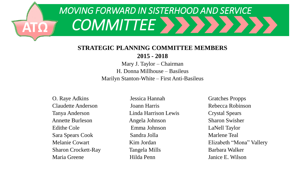# *MOVING FORWARD IN SISTERHOOD AND SERVICE* **ΑΤΩ** *COMMITTEE*

### **STRATEGIC PLANNING COMMITTEE MEMBERS**

**2015 - 2018**

Mary J. Taylor – Chairman H. Donna Millhouse – Basileus Marilyn Stanton-White – First Anti-Basileus

O. Raye Adkins Jessica Hannah Gratches Propps Claudette Anderson Joann Harris Rebecca Robinson Tanya Anderson Linda Harrison Lewis Crystal Spears Annette Burleson Angela Johnson Sharon Swisher Edithe Cole **Emma Johnson** LaNell Taylor Sara Spears Cook Sandra Jolla Marlene Teal Sharon Crockett-Ray Tangela Mills Barbara Walker

Maria Greene Hilda Penn Janice E. Wilson

Melanie Cowart Kim Jordan Elizabeth "Mona" Vallery